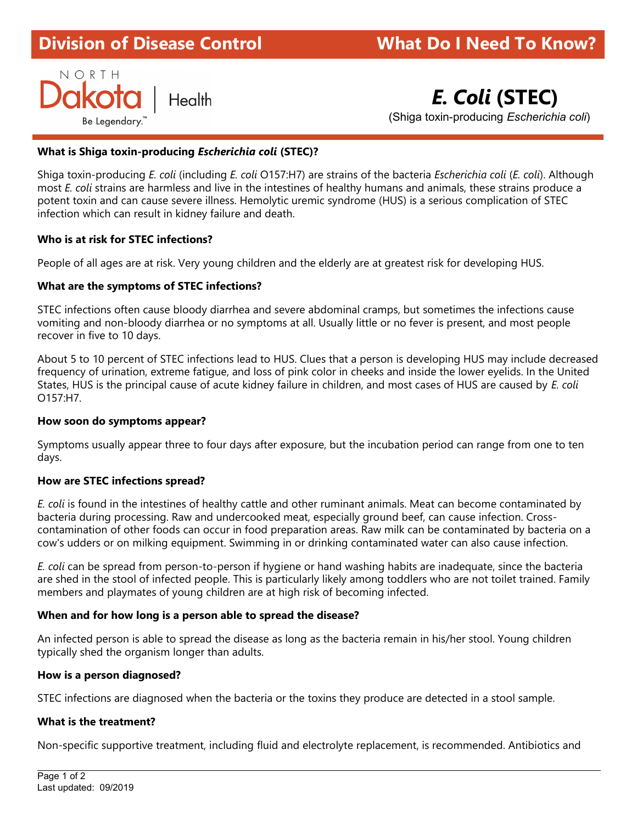# **Division of Disease Control** ł

# **What Do I Need To Know?**

NORTH

Health **E. Coli (STEC)** 

Be Legendary. " in the contract of the contract of the contract of the contract of the contract of the contract of the contract of the contract of the contract of the contract of the contract of the contract of the contrac

# What is Shiga toxin-producing Escherichia coli (STEC)?

Shiga toxin-producing E. coli (including E. coli O157:H7) are strains of the bacteria Escherichia coli (E. coli). Although most E. coli strains are harmless and live in the intestines of healthy humans and animals, these strains produce a potent toxin and can cause severe illness. Hemolytic uremic syndrome (HUS) is a serious complication of STEC infection which can result in kidney failure and death.

## Who is at risk for STEC infections?

People of all ages are at risk. Very young children and the elderly are at greatest risk for developing HUS.

## What are the symptoms of STEC infections?

STEC infections often cause bloody diarrhea and severe abdominal cramps, but sometimes the infections cause vomiting and non-bloody diarrhea or no symptoms at all. Usually little or no fever is present, and most people recover in five to 10 days.

About 5 to 10 percent of STEC infections lead to HUS. Clues that a person is developing HUS may include decreased frequency of urination, extreme fatigue, and loss of pink color in cheeks and inside the lower eyelids. In the United States, HUS is the principal cause of acute kidney failure in children, and most cases of HUS are caused by E. coli O157:H7.

#### How soon do symptoms appear?

Symptoms usually appear three to four days after exposure, but the incubation period can range from one to ten days.

#### How are STEC infections spread?

E. coli is found in the intestines of healthy cattle and other ruminant animals. Meat can become contaminated by bacteria during processing. Raw and undercooked meat, especially ground beef, can cause infection. Crosscontamination of other foods can occur in food preparation areas. Raw milk can be contaminated by bacteria on a cow's udders or on milking equipment. Swimming in or drinking contaminated water can also cause infection.

E. coli can be spread from person-to-person if hygiene or hand washing habits are inadequate, since the bacteria are shed in the stool of infected people. This is particularly likely among toddlers who are not toilet trained. Family members and playmates of young children are at high risk of becoming infected.

#### When and for how long is a person able to spread the disease?

An infected person is able to spread the disease as long as the bacteria remain in his/her stool. Young children typically shed the organism longer than adults.

#### How is a person diagnosed?

STEC infections are diagnosed when the bacteria or the toxins they produce are detected in a stool sample.

#### What is the treatment?

Non-specific supportive treatment, including fluid and electrolyte replacement, is recommended. Antibiotics and